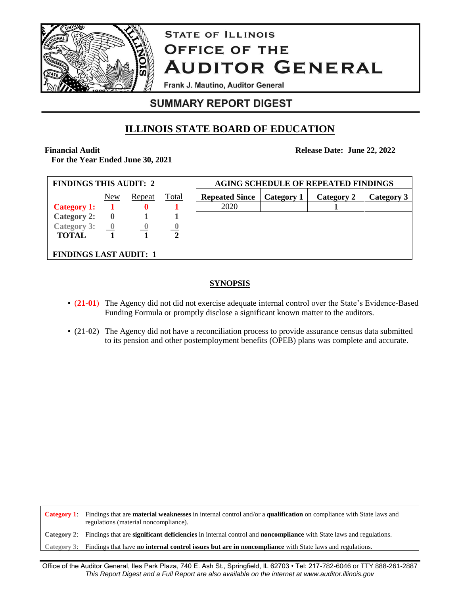

# **STATE OF ILLINOIS OFFICE OF THE AUDITOR GENERAL**

Frank J. Mautino, Auditor General

### **SUMMARY REPORT DIGEST**

## **ILLINOIS STATE BOARD OF EDUCATION**

**Financial Audit**

**For the Year Ended June 30, 2021**

**Release Date: June 22, 2022**

| <b>FINDINGS THIS AUDIT: 2</b>             |             |                |              | <b>AGING SCHEDULE OF REPEATED FINDINGS</b> |            |            |            |  |
|-------------------------------------------|-------------|----------------|--------------|--------------------------------------------|------------|------------|------------|--|
|                                           | New         | Repeat         | <b>Total</b> | <b>Repeated Since</b>                      | Category 1 | Category 2 | Category 3 |  |
| <b>Category 1:</b>                        |             | 0              |              | 2020                                       |            |            |            |  |
| <b>Category 2:</b>                        | $\mathbf 0$ |                |              |                                            |            |            |            |  |
| Category 3: $\qquad \qquad \underline{0}$ |             | $\overline{0}$ |              |                                            |            |            |            |  |
| <b>TOTAL</b>                              |             |                |              |                                            |            |            |            |  |
|                                           |             |                |              |                                            |            |            |            |  |
| <b>FINDINGS LAST AUDIT: 1</b>             |             |                |              |                                            |            |            |            |  |

### **SYNOPSIS**

- (21-01) The Agency did not did not exercise adequate internal control over the State's Evidence-Based Funding Formula or promptly disclose a significant known matter to the auditors.
- (**21-02**) The Agency did not have a reconciliation process to provide assurance census data submitted to its pension and other postemployment benefits (OPEB) plans was complete and accurate.

**Category 1**: Findings that are **material weaknesses** in internal control and/or a **qualification** on compliance with State laws and regulations (material noncompliance).

**Category 2**: Findings that are **significant deficiencies** in internal control and **noncompliance** with State laws and regulations.

**Category 3**: Findings that have **no internal control issues but are in noncompliance** with State laws and regulations.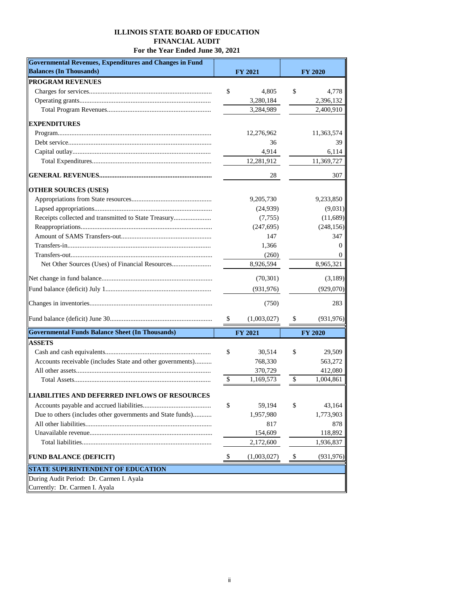#### **ILLINOIS STATE BOARD OF EDUCATION FINANCIAL AUDIT For the Year Ended June 30, 2021**

| Governmental Revenues, Expenditures and Changes in Fund    |                   |                  |
|------------------------------------------------------------|-------------------|------------------|
| <b>Balances (In Thousands)</b>                             | <b>FY 2021</b>    | <b>FY 2020</b>   |
| <b>PROGRAM REVENUES</b>                                    |                   |                  |
|                                                            | \$<br>4,805       | \$<br>4,778      |
|                                                            | 3,280,184         | 2,396,132        |
|                                                            | 3,284,989         | 2,400,910        |
| <b>EXPENDITURES</b>                                        |                   |                  |
|                                                            | 12,276,962        | 11,363,574       |
|                                                            | 36                | 39               |
|                                                            | 4,914             | 6,114            |
|                                                            | 12,281,912        | 11,369,727       |
|                                                            | 28                | 307              |
| <b>OTHER SOURCES (USES)</b>                                |                   |                  |
|                                                            | 9,205,730         | 9,233,850        |
|                                                            | (24,939)          | (9,031)          |
| Receipts collected and transmitted to State Treasury       | (7,755)           | (11,689)         |
|                                                            | (247, 695)        | (248, 156)       |
|                                                            | 147               | 347              |
|                                                            | 1,366             | $\theta$         |
|                                                            | (260)             | $\theta$         |
|                                                            | 8,926,594         | 8,965,321        |
|                                                            | (70, 301)         | (3,189)          |
|                                                            | (931, 976)        | (929,070)        |
|                                                            | (750)             | 283              |
|                                                            | \$<br>(1,003,027) | \$<br>(931, 976) |
| <b>Governmental Funds Balance Sheet (In Thousands)</b>     | <b>FY 2021</b>    | <b>FY 2020</b>   |
| <b>ASSETS</b>                                              |                   |                  |
|                                                            | \$<br>30,514      | \$<br>29,509     |
| Accounts receivable (includes State and other governments) | 768,330           | 563,272          |
|                                                            | 370,729           | 412,080          |
|                                                            | \$<br>1,169,573   | \$<br>1,004,861  |
| LIABILITIES AND DEFERRED INFLOWS OF RESOURCES              |                   |                  |
|                                                            | \$<br>59,194      | \$<br>43,164     |
| Due to others (includes other governments and State funds) | 1,957,980         | 1,773,903        |
|                                                            | 817               | 878              |
|                                                            | 154,609           | 118,892          |
|                                                            | 2,172,600         | 1,936,837        |
| <b>FUND BALANCE (DEFICIT)</b>                              | \$<br>(1,003,027) | \$<br>(931, 976) |
| <b>STATE SUPERINTENDENT OF EDUCATION</b>                   |                   |                  |
| During Audit Period: Dr. Carmen I. Ayala                   |                   |                  |
| Currently: Dr. Carmen I. Ayala                             |                   |                  |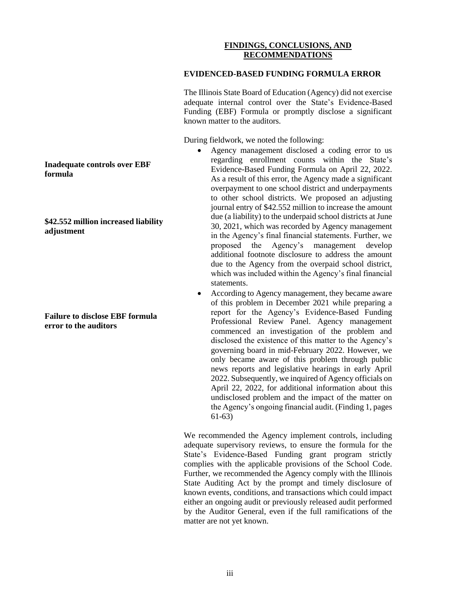#### **FINDINGS, CONCLUSIONS, AND RECOMMENDATIONS**

#### **EVIDENCED-BASED FUNDING FORMULA ERROR**

The Illinois State Board of Education (Agency) did not exercise adequate internal control over the State's Evidence-Based Funding (EBF) Formula or promptly disclose a significant known matter to the auditors.

During fieldwork, we noted the following:

- Agency management disclosed a coding error to us regarding enrollment counts within the State's Evidence-Based Funding Formula on April 22, 2022. As a result of this error, the Agency made a significant overpayment to one school district and underpayments to other school districts. We proposed an adjusting journal entry of \$42.552 million to increase the amount due (a liability) to the underpaid school districts at June 30, 2021, which was recorded by Agency management in the Agency's final financial statements. Further, we proposed the Agency's management develop additional footnote disclosure to address the amount due to the Agency from the overpaid school district, which was included within the Agency's final financial statements.
- According to Agency management, they became aware of this problem in December 2021 while preparing a report for the Agency's Evidence-Based Funding Professional Review Panel. Agency management commenced an investigation of the problem and disclosed the existence of this matter to the Agency's governing board in mid-February 2022. However, we only became aware of this problem through public news reports and legislative hearings in early April 2022. Subsequently, we inquired of Agency officials on April 22, 2022, for additional information about this undisclosed problem and the impact of the matter on the Agency's ongoing financial audit. (Finding 1, pages 61-63)

We recommended the Agency implement controls, including adequate supervisory reviews, to ensure the formula for the State's Evidence-Based Funding grant program strictly complies with the applicable provisions of the School Code. Further, we recommended the Agency comply with the Illinois State Auditing Act by the prompt and timely disclosure of known events, conditions, and transactions which could impact either an ongoing audit or previously released audit performed by the Auditor General, even if the full ramifications of the matter are not yet known.

**Inadequate controls over EBF formula**

**\$42.552 million increased liability adjustment**

**Failure to disclose EBF formula error to the auditors**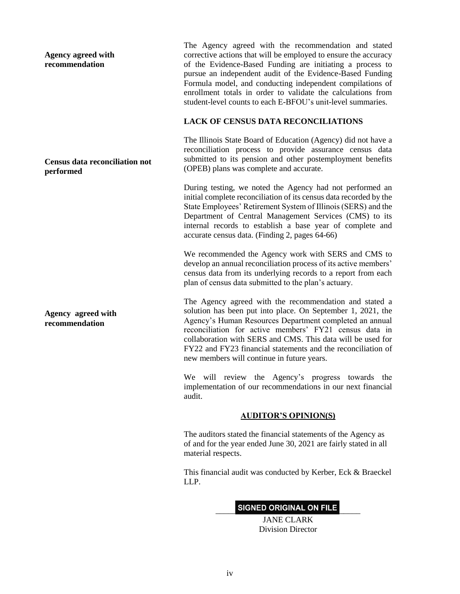**Agency agreed with recommendation**

#### **Census data reconciliation not performed**

**Agency agreed with recommendation**

The Agency agreed with the recommendation and stated corrective actions that will be employed to ensure the accuracy of the Evidence-Based Funding are initiating a process to pursue an independent audit of the Evidence-Based Funding Formula model, and conducting independent compilations of enrollment totals in order to validate the calculations from student-level counts to each E-BFOU's unit-level summaries.

### **LACK OF CENSUS DATA RECONCILIATIONS**

The Illinois State Board of Education (Agency) did not have a reconciliation process to provide assurance census data submitted to its pension and other postemployment benefits (OPEB) plans was complete and accurate.

During testing, we noted the Agency had not performed an initial complete reconciliation of its census data recorded by the State Employees' Retirement System of Illinois (SERS) and the Department of Central Management Services (CMS) to its internal records to establish a base year of complete and accurate census data. (Finding 2, pages 64-66)

We recommended the Agency work with SERS and CMS to develop an annual reconciliation process of its active members' census data from its underlying records to a report from each plan of census data submitted to the plan's actuary.

The Agency agreed with the recommendation and stated a solution has been put into place. On September 1, 2021, the Agency's Human Resources Department completed an annual reconciliation for active members' FY21 census data in collaboration with SERS and CMS. This data will be used for FY22 and FY23 financial statements and the reconciliation of new members will continue in future years.

We will review the Agency's progress towards the implementation of our recommendations in our next financial audit.

#### **AUDITOR'S OPINION(S)**

The auditors stated the financial statements of the Agency as of and for the year ended June 30, 2021 are fairly stated in all material respects.

This financial audit was conducted by Kerber, Eck & Braeckel LLP.

### SIGNED ORIGINAL ON FILE

JANE CLARK Division Director